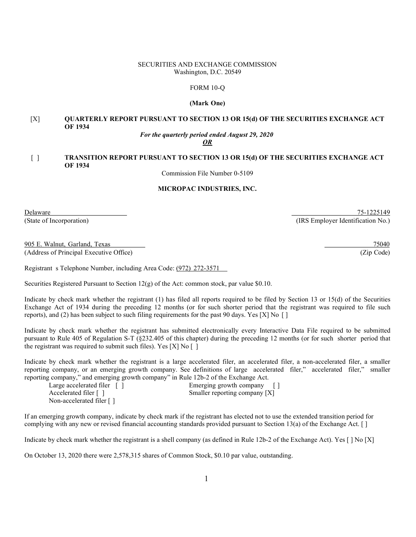#### SECURITIES AND EXCHANGE COMMISSION Washington, D.C. 20549

### FORM 10-Q

#### (Mark One)

# [X] QUARTERLY REPORT PURSUANT TO SECTION 13 OR 15(d) OF THE SECURITIES EXCHANGE ACT OF 1934

# For the quarterly period ended August 29, 2020

OR

# [ ] TRANSITION REPORT PURSUANT TO SECTION 13 OR 15(d) OF THE SECURITIES EXCHANGE ACT OF 1934

Commission File Number 0-5109

## MICROPAC INDUSTRIES, INC.

Delaware 75-1225149 (State of Incorporation) (IRS Employer Identification No.)

905 E. Walnut, Garland, Texas 75040 (Address of Principal Executive Office) (Zip Code)

Registrant s Telephone Number, including Area Code: (972) 272-3571

Securities Registered Pursuant to Section 12(g) of the Act: common stock, par value \$0.10.

Indicate by check mark whether the registrant (1) has filed all reports required to be filed by Section 13 or 15(d) of the Securities Exchange Act of 1934 during the preceding 12 months (or for such shorter period that the registrant was required to file such reports), and (2) has been subject to such filing requirements for the past 90 days. Yes [X] No []

Indicate by check mark whether the registrant has submitted electronically every Interactive Data File required to be submitted pursuant to Rule 405 of Regulation S-T (§232.405 of this chapter) during the preceding 12 months (or for such shorter period that the registrant was required to submit such files). Yes  $[X]$  No  $[ ]$ 

Indicate by check mark whether the registrant is a large accelerated filer, an accelerated filer, a non-accelerated filer, a smaller reporting company, or an emerging growth company. See definitions of large accelerated filer," accelerated filer," smaller reporting company," and emerging growth company" in Rule 12b-2 of the Exchange Act.

| Large accelerated filer $\lceil \cdot \rceil$ | Emerging growth company []    |
|-----------------------------------------------|-------------------------------|
| Accelerated filer $\lceil \ \rceil$           | Smaller reporting company [X] |
| Non-accelerated filer $\lceil \cdot \rceil$   |                               |

If an emerging growth company, indicate by check mark if the registrant has elected not to use the extended transition period for complying with any new or revised financial accounting standards provided pursuant to Section 13(a) of the Exchange Act.  $\lceil \cdot \rceil$ 

Indicate by check mark whether the registrant is a shell company (as defined in Rule 12b-2 of the Exchange Act). Yes [ ] No [X]

On October 13, 2020 there were 2,578,315 shares of Common Stock, \$0.10 par value, outstanding.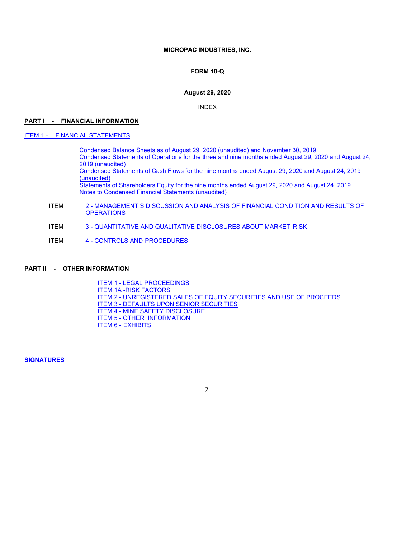### MICROPAC INDUSTRIES, INC.

# FORM 10-Q

# August 29, 2020

## INDEX

### PART I - FINANCIAL INFORMATION

ITEM 1 - FINANCIAL STATEMENTS

Condensed Balance Sheets as of August 29, 2020 (unaudited) and November 30, 2019 Condensed Statements of Operations for the three and nine months ended August 29, 2020 and August 24, 2019 (unaudited) Condensed Statements of Cash Flows for the nine months ended August 29, 2020 and August 24, 2019 (unaudited) Statements of Shareholders Equity for the nine months ended August 29, 2020 and August 24, 2019 Notes to Condensed Financial Statements (unaudited)

- ITEM 2 MANAGEMENT S DISCUSSION AND ANALYSIS OF FINANCIAL CONDITION AND RESULTS OF **OPERATIONS**
- ITEM 3 QUANTITATIVE AND QUALITATIVE DISCLOSURES ABOUT MARKET RISK
- ITEM 4 CONTROLS AND PROCEDURES

# PART II - OTHER INFORMATION

ITEM 1 - LEGAL PROCEEDINGS ITEM 1A -RISK FACTORS ITEM 2 - UNREGISTERED SALES OF EQUITY SECURITIES AND USE OF PROCEEDS ITEM 3 - DEFAULTS UPON SENIOR SECURITIES ITEM 4 - MINE SAFETY DISCLOSURE **ITEM 5 - OTHER INFORMATION** ITEM 6 - EXHIBITS

**SIGNATURES** 

2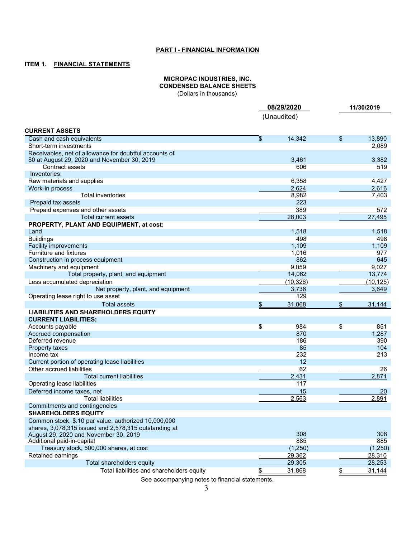# PART I - FINANCIAL INFORMATION

# ITEM 1. FINANCIAL STATEMENTS

# MICROPAC INDUSTRIES, INC. CONDENSED BALANCE SHEETS

(Dollars in thousands)

|                                                        | 08/29/2020              |                 |                          | 11/30/2019      |
|--------------------------------------------------------|-------------------------|-----------------|--------------------------|-----------------|
|                                                        |                         | (Unaudited)     |                          |                 |
|                                                        |                         |                 |                          |                 |
| <b>CURRENT ASSETS</b>                                  |                         |                 |                          |                 |
| Cash and cash equivalents                              | $\sqrt[6]{\frac{1}{2}}$ | 14,342          | \$                       | 13,890          |
| Short-term investments                                 |                         |                 |                          | 2,089           |
| Receivables, net of allowance for doubtful accounts of |                         |                 |                          |                 |
| \$0 at August 29, 2020 and November 30, 2019           |                         | 3,461           |                          | 3,382           |
| Contract assets                                        |                         | 606             |                          | 519             |
| Inventories:                                           |                         |                 |                          |                 |
| Raw materials and supplies                             |                         | 6,358           |                          | 4,427           |
| Work-in process<br><b>Total inventories</b>            |                         | 2,624<br>8,982  |                          | 2,616<br>7,403  |
| Prepaid tax assets                                     |                         | 223             |                          |                 |
|                                                        |                         |                 |                          |                 |
| Prepaid expenses and other assets                      |                         | 389             |                          | 572             |
| <b>Total current assets</b>                            |                         | 28,003          |                          | 27,495          |
| PROPERTY, PLANT AND EQUIPMENT, at cost:                |                         |                 |                          |                 |
| Land                                                   |                         | 1,518           |                          | 1,518           |
| <b>Buildings</b>                                       |                         | 498             |                          | 498             |
| <b>Facility improvements</b>                           |                         | 1,109           |                          | 1,109           |
| Furniture and fixtures                                 |                         | 1,016           |                          | 977             |
| Construction in process equipment                      |                         | 862             |                          | 645             |
| Machinery and equipment                                |                         | 9,059<br>14,062 |                          | 9.027<br>13,774 |
| Total property, plant, and equipment                   |                         |                 |                          |                 |
| Less accumulated depreciation                          |                         | (10, 326)       |                          | (10, 125)       |
| Net property, plant, and equipment                     |                         | 3,736           |                          | 3,649           |
| Operating lease right to use asset                     |                         | 129             |                          |                 |
| <b>Total assets</b>                                    | \$                      | 31,868          | \$                       | 31,144          |
| <b>LIABILITIES AND SHAREHOLDERS EQUITY</b>             |                         |                 |                          |                 |
| <b>CURRENT LIABILITIES:</b>                            |                         |                 |                          |                 |
| Accounts payable                                       | \$                      | 984             | $\overline{\mathcal{L}}$ | 851             |
| Accrued compensation                                   |                         | 870             |                          | 1,287           |
| Deferred revenue                                       |                         | 186             |                          | 390             |
| Property taxes                                         |                         | 85              |                          | 104             |
| Income tax                                             |                         | 232             |                          | 213             |
| Current portion of operating lease liabilities         |                         | 12              |                          |                 |
| Other accrued liabilities                              |                         | 62              |                          | 26              |
| <b>Total current liabilities</b>                       |                         | 2,431           |                          | 2,871           |
| Operating lease liabilities                            |                         | 117             |                          |                 |
| Deferred income taxes, net                             |                         | 15              |                          | 20              |
| <b>Total liabilities</b>                               |                         | 2,563           |                          | 2,891           |
| Commitments and contingencies                          |                         |                 |                          |                 |
| <b>SHAREHOLDERS EQUITY</b>                             |                         |                 |                          |                 |
| Common stock, \$.10 par value, authorized 10,000,000   |                         |                 |                          |                 |
| shares, 3,078,315 issued and 2,578,315 outstanding at  |                         |                 |                          |                 |
| August 29, 2020 and November 30, 2019                  |                         | 308             |                          | 308             |
| Additional paid-in-capital                             |                         | 885             |                          | 885             |
| Treasury stock, 500,000 shares, at cost                |                         | (1,250)         |                          | (1,250)         |
| Retained earnings                                      |                         | 29.362          |                          | 28.310          |
| Total shareholders equity                              |                         | 29,305          |                          | 28,253          |
| Total liabilities and shareholders equity              | \$                      | 31,868          | <u>\$</u>                | 31,144          |

See accompanying notes to financial statements.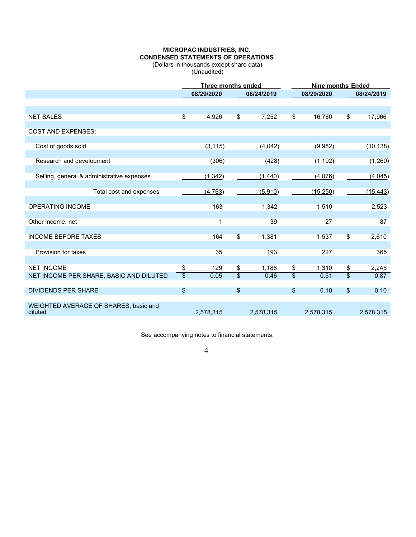# MICROPAC INDUSTRIES, INC. CONDENSED STATEMENTS OF OPERATIONS

(Dollars in thousands except share data) (Unaudited)

|                                                  |                          | Three months ended |                 |            | <b>Nine months Ended</b> |            |                 |            |
|--------------------------------------------------|--------------------------|--------------------|-----------------|------------|--------------------------|------------|-----------------|------------|
|                                                  |                          | 08/29/2020         |                 | 08/24/2019 |                          | 08/29/2020 |                 | 08/24/2019 |
|                                                  |                          |                    |                 |            |                          |            |                 |            |
| <b>NET SALES</b>                                 | \$                       | 4,926              | \$              | 7,252      | \$                       | 16,760     | \$              | 17,966     |
| <b>COST AND EXPENSES:</b>                        |                          |                    |                 |            |                          |            |                 |            |
| Cost of goods sold                               |                          | (3, 115)           |                 | (4,042)    |                          | (9,982)    |                 | (10, 138)  |
| Research and development                         |                          | (306)              |                 | (428)      |                          | (1, 192)   |                 | (1,260)    |
| Selling, general & administrative expenses       |                          | (1, 342)           |                 | (1,440)    |                          | (4,076)    |                 | (4,045)    |
| Total cost and expenses                          |                          | (4.763)            |                 | (5.910)    |                          | (15.250)   |                 | (15.443)   |
| <b>OPERATING INCOME</b>                          |                          | 163                |                 | 1,342      |                          | 1,510      |                 | 2,523      |
| Other income, net                                |                          |                    |                 | 39         |                          | 27         |                 | 87         |
| <b>INCOME BEFORE TAXES</b>                       |                          | 164                | \$              | 1,381      |                          | 1,537      | \$              | 2,610      |
| Provision for taxes                              |                          | 35                 |                 | 193        |                          | 227        |                 | 365        |
| <b>NET INCOME</b>                                | $\frac{2}{3}$            | 129                | \$              | 1,188      | \$                       | 1,310      | \$              | 2,245      |
| NET INCOME PER SHARE, BASIC AND DILUTED          | $\overline{\mathcal{S}}$ | 0.05               | $\overline{\$}$ | 0.46       | $\overline{\mathbb{S}}$  | 0.51       | $\overline{\$}$ | 0.87       |
| <b>DIVIDENDS PER SHARE</b>                       | \$                       |                    | \$              |            | \$                       | 0.10       | \$              | 0.10       |
| WEIGHTED AVERAGE OF SHARES, basic and<br>diluted |                          | 2,578,315          |                 | 2,578,315  |                          | 2,578,315  |                 | 2,578,315  |

See accompanying notes to financial statements.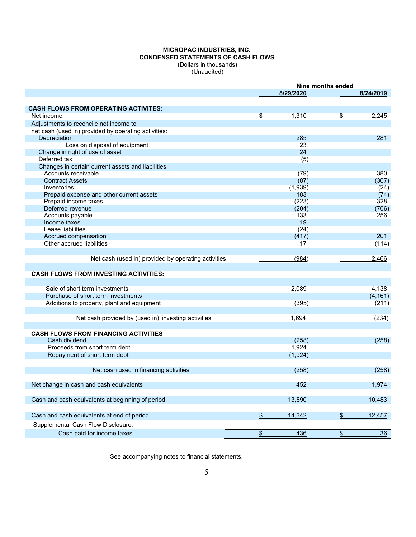# MICROPAC INDUSTRIES, INC. CONDENSED STATEMENTS OF CASH FLOWS (Dollars in thousands)

(Unaudited)

|                                                      | Nine months ended |                |               |           |  |
|------------------------------------------------------|-------------------|----------------|---------------|-----------|--|
|                                                      |                   | 8/29/2020      |               | 8/24/2019 |  |
|                                                      |                   |                |               |           |  |
| <b>CASH FLOWS FROM OPERATING ACTIVITES:</b>          |                   |                |               |           |  |
| Net income                                           | \$                | 1,310          | \$            | 2,245     |  |
| Adjustments to reconcile net income to               |                   |                |               |           |  |
| net cash (used in) provided by operating activities: |                   |                |               |           |  |
| Depreciation                                         |                   | 285            |               | 281       |  |
| Loss on disposal of equipment                        |                   | 23             |               |           |  |
| Change in right of use of asset                      |                   | 24             |               |           |  |
| Deferred tax                                         |                   | (5)            |               |           |  |
| Changes in certain current assets and liabilities    |                   |                |               |           |  |
| Accounts receivable                                  |                   | (79)           |               | 380       |  |
| <b>Contract Assets</b>                               |                   | (87)           |               | (307)     |  |
| Inventories                                          |                   | (1,939)        |               | (24)      |  |
| Prepaid expense and other current assets             |                   | 183            |               | (74)      |  |
| Prepaid income taxes                                 |                   | (223)          |               | 328       |  |
| Deferred revenue                                     |                   | (204)          |               | (706)     |  |
| Accounts payable                                     |                   | 133            |               | 256       |  |
| Income taxes                                         |                   | 19             |               |           |  |
| Lease liabilities                                    |                   | (24)           |               |           |  |
| Accrued compensation                                 |                   | (417)          |               | 201       |  |
| Other accrued liabilities                            |                   | 17             |               |           |  |
|                                                      |                   |                |               | (114)     |  |
|                                                      |                   |                |               |           |  |
| Net cash (used in) provided by operating activities  |                   | (984)          |               | 2,466     |  |
|                                                      |                   |                |               |           |  |
| <b>CASH FLOWS FROM INVESTING ACTIVITIES:</b>         |                   |                |               |           |  |
|                                                      |                   |                |               |           |  |
| Sale of short term investments                       |                   | 2,089          |               | 4,138     |  |
| Purchase of short term investments                   |                   |                |               | (4, 161)  |  |
| Additions to property, plant and equipment           |                   | (395)          |               | (211)     |  |
|                                                      |                   |                |               |           |  |
| Net cash provided by (used in) investing activities  |                   | 1,694          |               | (234)     |  |
|                                                      |                   |                |               |           |  |
| <b>CASH FLOWS FROM FINANCING ACTIVITIES</b>          |                   |                |               |           |  |
| Cash dividend                                        |                   |                |               |           |  |
| Proceeds from short term debt                        |                   | (258)<br>1,924 |               | (258)     |  |
|                                                      |                   |                |               |           |  |
| Repayment of short term debt                         |                   | (1,924)        |               |           |  |
|                                                      |                   |                |               |           |  |
| Net cash used in financing activities                |                   | (258)          |               | (258)     |  |
|                                                      |                   |                |               |           |  |
| Net change in cash and cash equivalents              |                   | 452            |               | 1,974     |  |
|                                                      |                   |                |               |           |  |
| Cash and cash equivalents at beginning of period     |                   | 13,890         |               | 10,483    |  |
|                                                      |                   |                |               |           |  |
| Cash and cash equivalents at end of period           | $\frac{2}{2}$     | 14,342         | \$            | 12,457    |  |
|                                                      |                   |                |               |           |  |
| Supplemental Cash Flow Disclosure:                   |                   |                |               |           |  |
| Cash paid for income taxes                           | $\frac{1}{2}$     | 436            | $\frac{1}{2}$ | 36        |  |

See accompanying notes to financial statements.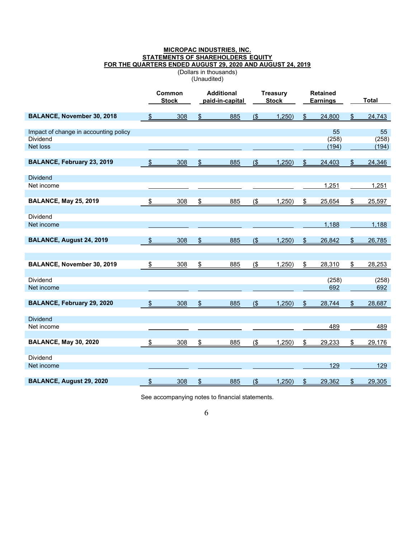### MICROPAC INDUSTRIES, INC. STATEMENTS OF SHAREHOLDERS EQUITY FOR THE QUARTERS ENDED AUGUST 29, 2020 AND AUGUST 24, 2019

(Dollars in thousands)

|                                                                      |                                                                                                   |     | (Unaudited)   |                                    |                          |        |               |                      |               |                      |
|----------------------------------------------------------------------|---------------------------------------------------------------------------------------------------|-----|---------------|------------------------------------|--------------------------|--------|---------------|----------------------|---------------|----------------------|
|                                                                      | Common<br><b>Additional</b><br><b>Treasury</b><br><b>Stock</b><br><b>Stock</b><br>paid-in-capital |     |               | <b>Retained</b><br><b>Earnings</b> |                          | Total  |               |                      |               |                      |
| <b>BALANCE, November 30, 2018</b>                                    | \$                                                                                                | 308 | $\frac{1}{2}$ | 885                                | $($ \$                   | 1,250) | \$            | 24,800               | \$            | 24,743               |
| Impact of change in accounting policy<br><b>Dividend</b><br>Net loss |                                                                                                   |     |               |                                    |                          |        |               | 55<br>(258)<br>(194) |               | 55<br>(258)<br>(194) |
| BALANCE, February 23, 2019                                           | \$                                                                                                | 308 | $\frac{1}{2}$ | 885                                | $($ \$                   | 1,250) | \$            | 24,403               | \$            | 24,346               |
| <b>Dividend</b><br>Net income                                        |                                                                                                   |     |               |                                    |                          |        |               | 1,251                |               | 1,251                |
| <b>BALANCE, May 25, 2019</b>                                         | $\frac{1}{2}$                                                                                     | 308 | $\frac{2}{3}$ | 885                                | $\overline{\mathcal{L}}$ | 1,250) | \$            | 25,654               | \$            | 25,597               |
| Dividend<br>Net income                                               |                                                                                                   |     |               |                                    |                          |        |               | 1,188                |               | 1,188                |
| BALANCE, August 24, 2019                                             | $\frac{1}{2}$                                                                                     | 308 | $\frac{1}{2}$ | 885                                | $($ \$                   | 1,250) | $\frac{1}{2}$ | 26,842               | \$            | 26,785               |
| BALANCE, November 30, 2019                                           | $\frac{2}{5}$                                                                                     | 308 | $\frac{2}{2}$ | 885                                | $($ \$                   | 1,250  | \$            | 28,310               | $\frac{1}{2}$ | 28,253               |
| Dividend<br>Net income                                               |                                                                                                   |     |               |                                    |                          |        |               | (258)<br>692         |               | (258)<br>692         |
| BALANCE, February 29, 2020                                           | \$                                                                                                | 308 | $\frac{1}{2}$ | 885                                | \$                       | 1,250) | \$            | 28,744               | \$            | 28,687               |
| <b>Dividend</b><br>Net income                                        |                                                                                                   |     |               |                                    |                          |        |               | 489                  |               | 489                  |
| <b>BALANCE, May 30, 2020</b>                                         | \$                                                                                                | 308 | $\frac{2}{3}$ | 885                                | $($ \$                   | 1,250) | \$            | 29,233               | \$            | 29,176               |
| Dividend<br>Net income                                               |                                                                                                   |     |               |                                    |                          |        |               | 129                  |               | 129                  |
| BALANCE, August 29, 2020                                             | \$                                                                                                | 308 | \$            | 885                                | $($ \$                   | 1,250) | \$            | 29,362               | \$            | 29,305               |

See accompanying notes to financial statements.

6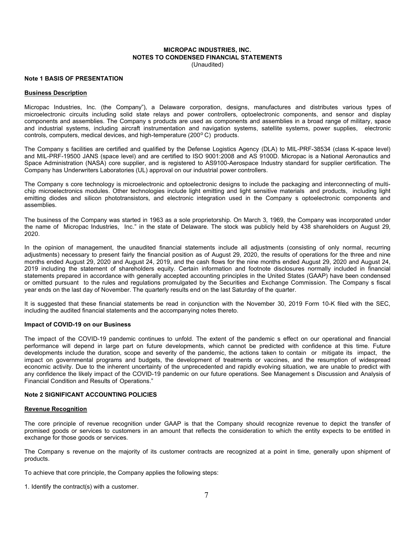# MICROPAC INDUSTRIES, INC. NOTES TO CONDENSED FINANCIAL STATEMENTS

(Unaudited)

#### Note 1 BASIS OF PRESENTATION

#### Business Description

Micropac Industries, Inc. (the Company"), a Delaware corporation, designs, manufactures and distributes various types of microelectronic circuits including solid state relays and power controllers, optoelectronic components, and sensor and display components and assemblies. The Company s products are used as components and assemblies in a broad range of military, space and industrial systems, including aircraft instrumentation and navigation systems, satellite systems, power supplies, electronic controls, computers, medical devices, and high-temperature (200°C) products.

The Company s facilities are certified and qualified by the Defense Logistics Agency (DLA) to MIL-PRF-38534 (class K-space level) and MIL-PRF-19500 JANS (space level) and are certified to ISO 9001:2008 and AS 9100D. Micropac is a National Aeronautics and Space Administration (NASA) core supplier, and is registered to AS9100-Aerospace Industry standard for supplier certification. The Company has Underwriters Laboratories (UL) approval on our industrial power controllers.

The Company s core technology is microelectronic and optoelectronic designs to include the packaging and interconnecting of multichip microelectronics modules. Other technologies include light emitting and light sensitive materials and products, including light emitting diodes and silicon phototransistors, and electronic integration used in the Company s optoelectronic components and assemblies.

The business of the Company was started in 1963 as a sole proprietorship. On March 3, 1969, the Company was incorporated under the name of Micropac Industries, Inc." in the state of Delaware. The stock was publicly held by 438 shareholders on August 29, 2020.

In the opinion of management, the unaudited financial statements include all adjustments (consisting of only normal, recurring adjustments) necessary to present fairly the financial position as of August 29, 2020, the results of operations for the three and nine months ended August 29, 2020 and August 24, 2019, and the cash flows for the nine months ended August 29, 2020 and August 24, 2019 including the statement of shareholders equity. Certain information and footnote disclosures normally included in financial statements prepared in accordance with generally accepted accounting principles in the United States (GAAP) have been condensed or omitted pursuant to the rules and regulations promulgated by the Securities and Exchange Commission. The Company s fiscal year ends on the last day of November. The quarterly results end on the last Saturday of the quarter.

It is suggested that these financial statements be read in conjunction with the November 30, 2019 Form 10-K filed with the SEC, including the audited financial statements and the accompanying notes thereto.

## Impact of COVID-19 on our Business

The impact of the COVID-19 pandemic continues to unfold. The extent of the pandemic s effect on our operational and financial performance will depend in large part on future developments, which cannot be predicted with confidence at this time. Future developments include the duration, scope and severity of the pandemic, the actions taken to contain or mitigate its impact, the impact on governmental programs and budgets, the development of treatments or vaccines, and the resumption of widespread economic activity. Due to the inherent uncertainty of the unprecedented and rapidly evolving situation, we are unable to predict with any confidence the likely impact of the COVID-19 pandemic on our future operations. See Management s Discussion and Analysis of Financial Condition and Results of Operations."

#### Note 2 SIGNIFICANT ACCOUNTING POLICIES

#### Revenue Recognition

The core principle of revenue recognition under GAAP is that the Company should recognize revenue to depict the transfer of promised goods or services to customers in an amount that reflects the consideration to which the entity expects to be entitled in exchange for those goods or services.

The Company s revenue on the majority of its customer contracts are recognized at a point in time, generally upon shipment of products.

To achieve that core principle, the Company applies the following steps:

1. Identify the contract(s) with a customer.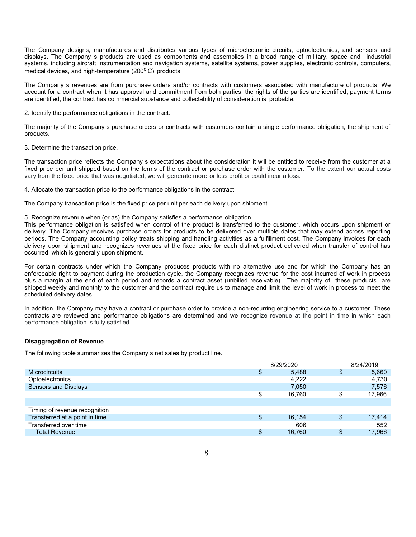The Company designs, manufactures and distributes various types of microelectronic circuits, optoelectronics, and sensors and displays. The Company s products are used as components and assemblies in a broad range of military, space and industrial systems, including aircraft instrumentation and navigation systems, satellite systems, power supplies, electronic controls, computers, medical devices, and high-temperature (200°C) products.

The Company s revenues are from purchase orders and/or contracts with customers associated with manufacture of products. We account for a contract when it has approval and commitment from both parties, the rights of the parties are identified, payment terms are identified, the contract has commercial substance and collectability of consideration is probable.

2. Identify the performance obligations in the contract.

The majority of the Company s purchase orders or contracts with customers contain a single performance obligation, the shipment of products.

3. Determine the transaction price.

The transaction price reflects the Company s expectations about the consideration it will be entitled to receive from the customer at a fixed price per unit shipped based on the terms of the contract or purchase order with the customer. To the extent our actual costs vary from the fixed price that was negotiated, we will generate more or less profit or could incur a loss.

4. Allocate the transaction price to the performance obligations in the contract.

The Company transaction price is the fixed price per unit per each delivery upon shipment.

5. Recognize revenue when (or as) the Company satisfies a performance obligation.

This performance obligation is satisfied when control of the product is transferred to the customer, which occurs upon shipment or delivery. The Company receives purchase orders for products to be delivered over multiple dates that may extend across reporting periods. The Company accounting policy treats shipping and handling activities as a fulfillment cost. The Company invoices for each delivery upon shipment and recognizes revenues at the fixed price for each distinct product delivered when transfer of control has occurred, which is generally upon shipment.

For certain contracts under which the Company produces products with no alternative use and for which the Company has an enforceable right to payment during the production cycle, the Company recognizes revenue for the cost incurred of work in process plus a margin at the end of each period and records a contract asset (unbilled receivable). The majority of these products are shipped weekly and monthly to the customer and the contract require us to manage and limit the level of work in process to meet the scheduled delivery dates.

In addition, the Company may have a contract or purchase order to provide a non-recurring engineering service to a customer. These contracts are reviewed and performance obligations are determined and we recognize revenue at the point in time in which each performance obligation is fully satisfied.

#### Disaggregation of Revenue

The following table summarizes the Company s net sales by product line.

|                                | 8/29/2020    | 8/24/2019    |
|--------------------------------|--------------|--------------|
| <b>Microcircuits</b>           | 5.488        | 5,660        |
| <b>Optoelectronics</b>         | 4,222        | 4,730        |
| Sensors and Displays           | 7,050        | 7,576        |
|                                | \$<br>16.760 | 17,966       |
|                                |              |              |
| Timing of revenue recognition  |              |              |
| Transferred at a point in time | \$<br>16,154 | \$<br>17,414 |
| Transferred over time          | 606          | 552          |
| <b>Total Revenue</b>           | 16.760       | 17,966       |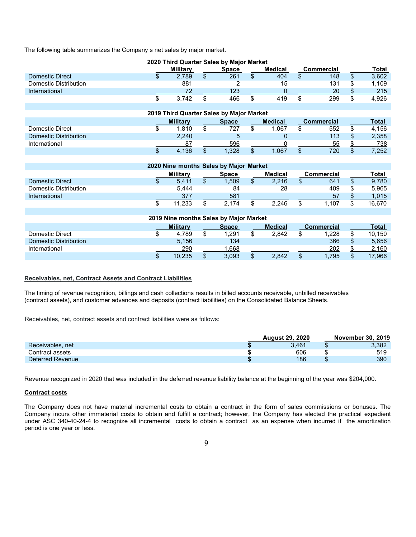The following table summarizes the Company s net sales by major market.

| 2020 Third Quarter Sales by Major Market |  |                 |  |              |  |         |                   |       |
|------------------------------------------|--|-----------------|--|--------------|--|---------|-------------------|-------|
|                                          |  | <b>Military</b> |  | <b>Space</b> |  | Medical | <b>Commercial</b> | Total |
| Domestic Direct                          |  | 2.789           |  | 261          |  | 404     | 148               | 3,602 |
| Domestic Distribution                    |  | 881             |  |              |  |         | 131               | 1,109 |
| International                            |  |                 |  | 123          |  |         | 20                | 215   |
|                                          |  | 3.742           |  | 466          |  | 419     | 299               | 4.926 |
|                                          |  |                 |  |              |  |         |                   |       |

# 2019 Third Quarter Sales by Major Market

|                              | <b>Military</b> |  | <b>Space</b> |  | <b>Medical</b> |    | <b>Commercial</b> |  | Total |
|------------------------------|-----------------|--|--------------|--|----------------|----|-------------------|--|-------|
| Domestic Direct              | .810            |  | 707<br>∠     |  | .067           | ۰D | 552               |  | 4,156 |
| <b>Domestic Distribution</b> | 2,240           |  |              |  |                |    | 113               |  | 2,358 |
| International                | 87              |  | 596          |  |                |    | 55                |  | 738   |
|                              | 4.136           |  | .328         |  | .067           | ۰D | 720               |  | 252.' |

| 2020 Nine months Sales by Major Market |  |                                                          |  |       |  |       |       |      |        |
|----------------------------------------|--|----------------------------------------------------------|--|-------|--|-------|-------|------|--------|
|                                        |  | Military<br><b>Medical</b><br>Commercial<br><b>Space</b> |  |       |  |       | Total |      |        |
| Domestic Direct                        |  | 5.411                                                    |  | 1.509 |  | 2.216 |       | 641  | 9.780  |
| Domestic Distribution                  |  | 5.444                                                    |  | 84    |  | 28    |       | 409  | 5.965  |
| International                          |  | 377                                                      |  | 581   |  |       |       | 57   | 1.015  |
|                                        |  | 11,233                                                   |  | 2.174 |  | 2.246 | \$    | .107 | 16.670 |

# 2019 Nine months Sales by Major Market Military Space Medical Commercial Total Domestic Direct \$ 4,789 \$ 1,291 \$ 2,842 \$ 1,228 \$ 10,150 Domestic Distribution 5,156 134 366 \$ 5,656 lnternational <u> 290</u> <u>\_\_\_\_\_\_\_\_1,668</u> \_\_\_\_\_\_\_\_\_\_\_\_\_\_\_\_\_\_\_\_\_\_\_\_\_\_\_\_\_\_\_\_\_\_202 <u>\$ 2,160</u> \$ 10,235 \$ 3,093 \$ 2,842 \$ 1,795 \$ 17,966

#### Receivables, net, Contract Assets and Contract Liabilities

The timing of revenue recognition, billings and cash collections results in billed accounts receivable, unbilled receivables (contract assets), and customer advances and deposits (contract liabilities) on the Consolidated Balance Sheets.

Receivables, net, contract assets and contract liabilities were as follows:

|                  | <b>August 29, 2020</b> | November 30, 2019 |
|------------------|------------------------|-------------------|
| Receivables, net | 3.461                  | 3,382             |
| Contract assets  | 606                    | 519               |
| Deferred Revenue | 186                    | 390               |

Revenue recognized in 2020 that was included in the deferred revenue liability balance at the beginning of the year was \$204,000.

### Contract costs

The Company does not have material incremental costs to obtain a contract in the form of sales commissions or bonuses. The Company incurs other immaterial costs to obtain and fulfill a contract; however, the Company has elected the practical expedient under ASC 340-40-24-4 to recognize all incremental costs to obtain a contract as an expense when incurred if the amortization period is one year or less.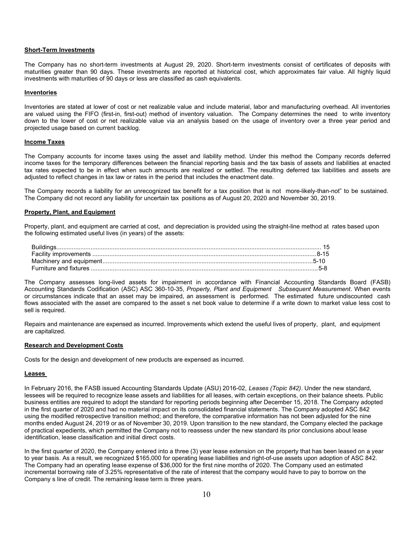#### Short-Term Investments

The Company has no short-term investments at August 29, 2020. Short-term investments consist of certificates of deposits with maturities greater than 90 days. These investments are reported at historical cost, which approximates fair value. All highly liquid investments with maturities of 90 days or less are classified as cash equivalents.

#### Inventories

Inventories are stated at lower of cost or net realizable value and include material, labor and manufacturing overhead. All inventories are valued using the FIFO (first-in, first-out) method of inventory valuation. The Company determines the need to write inventory down to the lower of cost or net realizable value via an analysis based on the usage of inventory over a three year period and projected usage based on current backlog.

#### Income Taxes

The Company accounts for income taxes using the asset and liability method. Under this method the Company records deferred income taxes for the temporary differences between the financial reporting basis and the tax basis of assets and liabilities at enacted tax rates expected to be in effect when such amounts are realized or settled. The resulting deferred tax liabilities and assets are adjusted to reflect changes in tax law or rates in the period that includes the enactment date.

The Company records a liability for an unrecognized tax benefit for a tax position that is not more-likely-than-not" to be sustained. The Company did not record any liability for uncertain tax positions as of August 20, 2020 and November 30, 2019.

# Property, Plant, and Equipment

Property, plant, and equipment are carried at cost, and depreciation is provided using the straight-line method at rates based upon the following estimated useful lives (in years) of the assets:

The Company assesses long-lived assets for impairment in accordance with Financial Accounting Standards Board (FASB) Accounting Standards Codification (ASC) ASC 360-10-35, Property, Plant and Equipment Subsequent Measurement. When events or circumstances indicate that an asset may be impaired, an assessment is performed. The estimated future undiscounted cash flows associated with the asset are compared to the asset s net book value to determine if a write down to market value less cost to sell is required.

Repairs and maintenance are expensed as incurred. Improvements which extend the useful lives of property, plant, and equipment are capitalized.

#### Research and Development Costs

Costs for the design and development of new products are expensed as incurred.

#### Leases

In February 2016, the FASB issued Accounting Standards Update (ASU) 2016-02, Leases (Topic 842). Under the new standard, lessees will be required to recognize lease assets and liabilities for all leases, with certain exceptions, on their balance sheets. Public business entities are required to adopt the standard for reporting periods beginning after December 15, 2018. The Company adopted in the first quarter of 2020 and had no material impact on its consolidated financial statements. The Company adopted ASC 842 using the modified retrospective transition method; and therefore, the comparative information has not been adjusted for the nine months ended August 24, 2019 or as of November 30, 2019. Upon transition to the new standard, the Company elected the package of practical expedients, which permitted the Company not to reassess under the new standard its prior conclusions about lease identification, lease classification and initial direct costs.

In the first quarter of 2020, the Company entered into a three (3) year lease extension on the property that has been leased on a year to year basis. As a result, we recognized \$165,000 for operating lease liabilities and right-of-use assets upon adoption of ASC 842. The Company had an operating lease expense of \$36,000 for the first nine months of 2020. The Company used an estimated incremental borrowing rate of 3.25% representative of the rate of interest that the company would have to pay to borrow on the Company s line of credit. The remaining lease term is three years.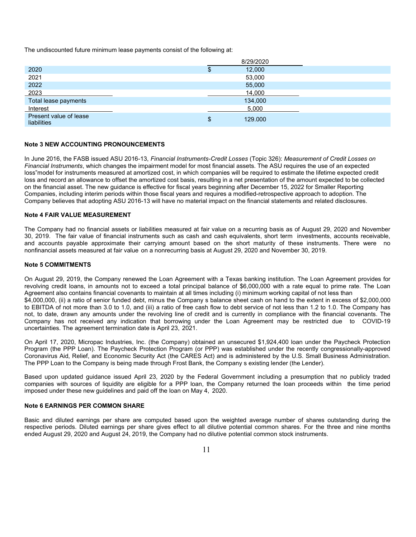The undiscounted future minimum lease payments consist of the following at:

|                                       |     | 8/29/2020 |
|---------------------------------------|-----|-----------|
| 2020                                  | D   | 12,000    |
| 2021                                  |     | 53,000    |
| 2022                                  |     | 55,000    |
| 2023                                  |     | 14,000    |
| Total lease payments                  |     | 134,000   |
| Interest                              |     | 5,000     |
| Present value of lease<br>liabilities | \$. | 129,000   |

# Note 3 NEW ACCOUNTING PRONOUNCEMENTS

In June 2016, the FASB issued ASU 2016-13, Financial Instruments-Credit Losses (Topic 326): Measurement of Credit Losses on Financial Instruments, which changes the impairment model for most financial assets. The ASU requires the use of an expected loss"model for instruments measured at amortized cost, in which companies will be required to estimate the lifetime expected credit loss and record an allowance to offset the amortized cost basis, resulting in a net presentation of the amount expected to be collected on the financial asset. The new guidance is effective for fiscal years beginning after December 15, 2022 for Smaller Reporting Companies, including interim periods within those fiscal years and requires a modified-retrospective approach to adoption. The Company believes that adopting ASU 2016-13 will have no material impact on the financial statements and related disclosures.

#### Note 4 FAIR VALUE MEASUREMENT

The Company had no financial assets or liabilities measured at fair value on a recurring basis as of August 29, 2020 and November 30, 2019. The fair value of financial instruments such as cash and cash equivalents, short term investments, accounts receivable, and accounts payable approximate their carrying amount based on the short maturity of these instruments. There were no nonfinancial assets measured at fair value on a nonrecurring basis at August 29, 2020 and November 30, 2019.

#### Note 5 COMMITMENTS

On August 29, 2019, the Company renewed the Loan Agreement with a Texas banking institution. The Loan Agreement provides for revolving credit loans, in amounts not to exceed a total principal balance of \$6,000,000 with a rate equal to prime rate. The Loan Agreement also contains financial covenants to maintain at all times including (i) minimum working capital of not less than \$4,000,000, (ii) a ratio of senior funded debt, minus the Company s balance sheet cash on hand to the extent in excess of \$2,000,000 to EBITDA of not more than 3.0 to 1.0, and (iii) a ratio of free cash flow to debt service of not less than 1.2 to 1.0. The Company has not, to date, drawn any amounts under the revolving line of credit and is currently in compliance with the financial covenants. The Company has not received any indication that borrowing under the Loan Agreement may be restricted due to COVID-19 uncertainties. The agreement termination date is April 23, 2021.

On April 17, 2020, Micropac Industries, Inc. (the Company) obtained an unsecured \$1,924,400 loan under the Paycheck Protection Program (the PPP Loan). The Paycheck Protection Program (or PPP) was established under the recently congressionally-approved Coronavirus Aid, Relief, and Economic Security Act (the CARES Act) and is administered by the U.S. Small Business Administration. The PPP Loan to the Company is being made through Frost Bank, the Company s existing lender (the Lender).

Based upon updated guidance issued April 23, 2020 by the Federal Government including a presumption that no publicly traded companies with sources of liquidity are eligible for a PPP loan, the Company returned the loan proceeds within the time period imposed under these new guidelines and paid off the loan on May 4, 2020.

#### Note 6 EARNINGS PER COMMON SHARE

Basic and diluted earnings per share are computed based upon the weighted average number of shares outstanding during the respective periods. Diluted earnings per share gives effect to all dilutive potential common shares. For the three and nine months ended August 29, 2020 and August 24, 2019, the Company had no dilutive potential common stock instruments.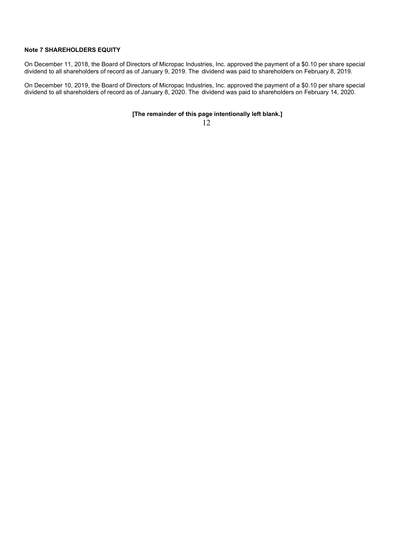# Note 7 SHAREHOLDERS EQUITY

On December 11, 2018, the Board of Directors of Micropac Industries, Inc. approved the payment of a \$0.10 per share special dividend to all shareholders of record as of January 9, 2019. The dividend was paid to shareholders on February 8, 2019.

On December 10, 2019, the Board of Directors of Micropac Industries, Inc. approved the payment of a \$0.10 per share special dividend to all shareholders of record as of January 8, 2020. The dividend was paid to shareholders on February 14, 2020.

[The remainder of this page intentionally left blank.]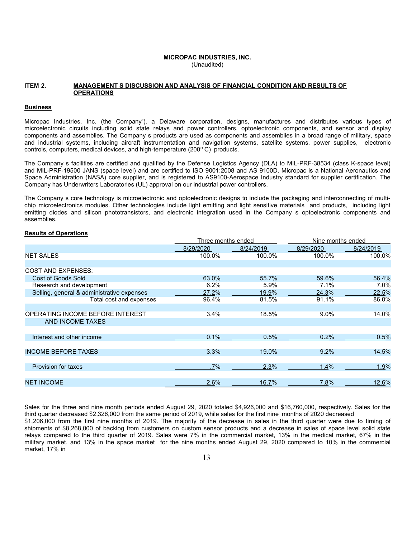#### MICROPAC INDUSTRIES, INC. (Unaudited)

#### ITEM 2. MANAGEMENT S DISCUSSION AND ANALYSIS OF FINANCIAL CONDITION AND RESULTS OF **OPERATIONS**

#### **Business**

Micropac Industries, Inc. (the Company"), a Delaware corporation, designs, manufactures and distributes various types of microelectronic circuits including solid state relays and power controllers, optoelectronic components, and sensor and display components and assemblies. The Company s products are used as components and assemblies in a broad range of military, space and industrial systems, including aircraft instrumentation and navigation systems, satellite systems, power supplies, electronic controls, computers, medical devices, and high-temperature (200°C) products.

The Company s facilities are certified and qualified by the Defense Logistics Agency (DLA) to MIL-PRF-38534 (class K-space level) and MIL-PRF-19500 JANS (space level) and are certified to ISO 9001:2008 and AS 9100D. Micropac is a National Aeronautics and Space Administration (NASA) core supplier, and is registered to AS9100-Aerospace Industry standard for supplier certification. The Company has Underwriters Laboratories (UL) approval on our industrial power controllers.

The Company s core technology is microelectronic and optoelectronic designs to include the packaging and interconnecting of multichip microelectronics modules. Other technologies include light emitting and light sensitive materials and products, including light emitting diodes and silicon phototransistors, and electronic integration used in the Company s optoelectronic components and assemblies.

|                                            | Three months ended |           | Nine months ended |           |
|--------------------------------------------|--------------------|-----------|-------------------|-----------|
|                                            | 8/29/2020          | 8/24/2019 | 8/29/2020         | 8/24/2019 |
| NET SALES                                  | 100.0%             | 100.0%    | 100.0%            | 100.0%    |
|                                            |                    |           |                   |           |
| <b>COST AND EXPENSES:</b>                  |                    |           |                   |           |
| Cost of Goods Sold                         | 63.0%              | 55.7%     | 59.6%             | 56.4%     |
| Research and development                   | 6.2%               | 5.9%      | 7.1%              | 7.0%      |
| Selling, general & administrative expenses | 27.2%              | 19.9%     | 24.3%             | 22.5%     |
| Total cost and expenses                    | 96.4%              | 81.5%     | 91.1%             | 86.0%     |
|                                            |                    |           |                   |           |
| OPERATING INCOME BEFORE INTEREST           | 3.4%               | 18.5%     | $9.0\%$           | 14.0%     |
| AND INCOME TAXES                           |                    |           |                   |           |
|                                            |                    |           |                   |           |
| Interest and other income                  | 0.1%               | 0.5%      | 0.2%              | 0.5%      |
|                                            |                    |           |                   |           |
| <b>INCOME BEFORE TAXES</b>                 | 3.3%               | 19.0%     | 9.2%              | 14.5%     |
|                                            |                    |           |                   |           |
| Provision for taxes                        | .7%                | 2.3%      | 1.4%              | 1.9%      |
|                                            |                    |           |                   |           |
| <b>NET INCOME</b>                          | 2.6%               | 16.7%     | 7.8%              | 12.6%     |
|                                            |                    |           |                   |           |

Results of Operations

Sales for the three and nine month periods ended August 29, 2020 totaled \$4,926,000 and \$16,760,000, respectively. Sales for the third quarter decreased \$2,326,000 from the same period of 2019, while sales for the first nine months of 2020 decreased \$1,206,000 from the first nine months of 2019. The majority of the decrease in sales in the third quarter were due to timing of shipments of \$8,268,000 of backlog from customers on custom sensor products and a decrease in sales of space level solid state relays compared to the third quarter of 2019. Sales were 7% in the commercial market, 13% in the medical market, 67% in the military market, and 13% in the space market for the nine months ended August 29, 2020 compared to 10% in the commercial market, 17% in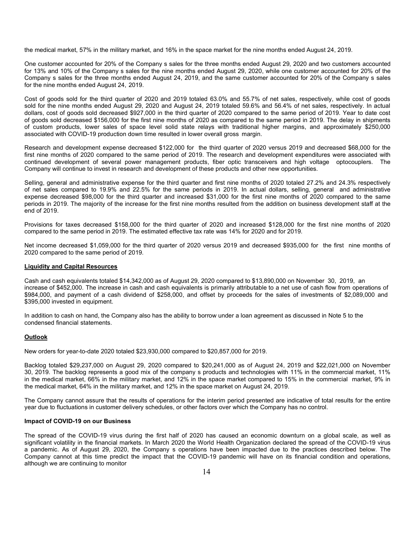the medical market, 57% in the military market, and 16% in the space market for the nine months ended August 24, 2019.

One customer accounted for 20% of the Company s sales for the three months ended August 29, 2020 and two customers accounted for 13% and 10% of the Company s sales for the nine months ended August 29, 2020, while one customer accounted for 20% of the Company s sales for the three months ended August 24, 2019, and the same customer accounted for 20% of the Company s sales for the nine months ended August 24, 2019.

Cost of goods sold for the third quarter of 2020 and 2019 totaled 63.0% and 55.7% of net sales, respectively, while cost of goods sold for the nine months ended August 29, 2020 and August 24, 2019 totaled 59.6% and 56.4% of net sales, respectively. In actual dollars, cost of goods sold decreased \$927,000 in the third quarter of 2020 compared to the same period of 2019. Year to date cost of goods sold decreased \$156,000 for the first nine months of 2020 as compared to the same period in 2019. The delay in shipments of custom products, lower sales of space level solid state relays with traditional higher margins, and approximately \$250,000 associated with COVID-19 production down time resulted in lower overall gross margin.

Research and development expense decreased \$122,000 for the third quarter of 2020 versus 2019 and decreased \$68,000 for the first nine months of 2020 compared to the same period of 2019. The research and development expenditures were associated with continued development of several power management products, fiber optic transceivers and high voltage optocouplers. The Company will continue to invest in research and development of these products and other new opportunities.

Selling, general and administrative expense for the third quarter and first nine months of 2020 totaled 27.2% and 24.3% respectively of net sales compared to 19.9% and 22.5% for the same periods in 2019. In actual dollars, selling, general and administrative expense decreased \$98,000 for the third quarter and increased \$31,000 for the first nine months of 2020 compared to the same periods in 2019. The majority of the increase for the first nine months resulted from the addition on business development staff at the end of 2019.

Provisions for taxes decreased \$158,000 for the third quarter of 2020 and increased \$128,000 for the first nine months of 2020 compared to the same period in 2019. The estimated effective tax rate was 14% for 2020 and for 2019.

Net income decreased \$1,059,000 for the third quarter of 2020 versus 2019 and decreased \$935,000 for the first nine months of 2020 compared to the same period of 2019.

#### Liquidity and Capital Resources

Cash and cash equivalents totaled \$14,342,000 as of August 29, 2020 compared to \$13,890,000 on November 30, 2019, an increase of \$452,000. The increase in cash and cash equivalents is primarily attributable to a net use of cash flow from operations of \$984,000, and payment of a cash dividend of \$258,000, and offset by proceeds for the sales of investments of \$2,089,000 and \$395,000 invested in equipment.

In addition to cash on hand, the Company also has the ability to borrow under a loan agreement as discussed in Note 5 to the condensed financial statements.

#### **Outlook**

New orders for year-to-date 2020 totaled \$23,930,000 compared to \$20,857,000 for 2019.

Backlog totaled \$29,237,000 on August 29, 2020 compared to \$20,241,000 as of August 24, 2019 and \$22,021,000 on November 30, 2019. The backlog represents a good mix of the company s products and technologies with 11% in the commercial market, 11% in the medical market, 66% in the military market, and 12% in the space market compared to 15% in the commercial market, 9% in the medical market, 64% in the military market, and 12% in the space market on August 24, 2019.

The Company cannot assure that the results of operations for the interim period presented are indicative of total results for the entire year due to fluctuations in customer delivery schedules, or other factors over which the Company has no control.

### Impact of COVID-19 on our Business

The spread of the COVID-19 virus during the first half of 2020 has caused an economic downturn on a global scale, as well as significant volatility in the financial markets. In March 2020 the World Health Organization declared the spread of the COVID-19 virus a pandemic. As of August 29, 2020, the Company s operations have been impacted due to the practices described below. The Company cannot at this time predict the impact that the COVID-19 pandemic will have on its financial condition and operations, although we are continuing to monitor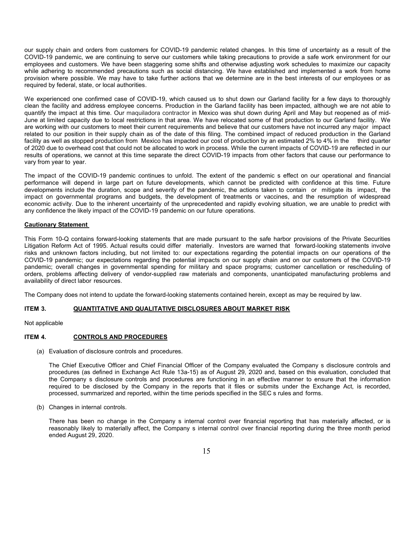our supply chain and orders from customers for COVID-19 pandemic related changes. In this time of uncertainty as a result of the COVID-19 pandemic, we are continuing to serve our customers while taking precautions to provide a safe work environment for our employees and customers. We have been staggering some shifts and otherwise adjusting work schedules to maximize our capacity while adhering to recommended precautions such as social distancing. We have established and implemented a work from home provision where possible. We may have to take further actions that we determine are in the best interests of our employees or as required by federal, state, or local authorities.

We experienced one confirmed case of COVID-19, which caused us to shut down our Garland facility for a few days to thoroughly clean the facility and address employee concerns. Production in the Garland facility has been impacted, although we are not able to quantify the impact at this time. Our maquiladora contractor in Mexico was shut down during April and May but reopened as of mid-June at limited capacity due to local restrictions in that area. We have relocated some of that production to our Garland facility. We are working with our customers to meet their current requirements and believe that our customers have not incurred any major impact related to our position in their supply chain as of the date of this filing. The combined impact of reduced production in the Garland facility as well as stopped production from Mexico has impacted our cost of production by an estimated 2% to 4% in the third quarter of 2020 due to overhead cost that could not be allocated to work in process. While the current impacts of COVID-19 are reflected in our results of operations, we cannot at this time separate the direct COVID-19 impacts from other factors that cause our performance to vary from year to year.

The impact of the COVID-19 pandemic continues to unfold. The extent of the pandemic s effect on our operational and financial performance will depend in large part on future developments, which cannot be predicted with confidence at this time. Future developments include the duration, scope and severity of the pandemic, the actions taken to contain or mitigate its impact, the impact on governmental programs and budgets, the development of treatments or vaccines, and the resumption of widespread economic activity. Due to the inherent uncertainty of the unprecedented and rapidly evolving situation, we are unable to predict with any confidence the likely impact of the COVID-19 pandemic on our future operations.

### Cautionary Statement

This Form 10-Q contains forward-looking statements that are made pursuant to the safe harbor provisions of the Private Securities Litigation Reform Act of 1995. Actual results could differ materially. Investors are warned that forward-looking statements involve risks and unknown factors including, but not limited to: our expectations regarding the potential impacts on our operations of the COVID-19 pandemic; our expectations regarding the potential impacts on our supply chain and on our customers of the COVID-19 pandemic; overall changes in governmental spending for military and space programs; customer cancellation or rescheduling of orders, problems affecting delivery of vendor-supplied raw materials and components, unanticipated manufacturing problems and availability of direct labor resources.

The Company does not intend to update the forward-looking statements contained herein, except as may be required by law.

## ITEM 3. QUANTITATIVE AND QUALITATIVE DISCLOSURES ABOUT MARKET RISK

### Not applicable

#### ITEM 4. CONTROLS AND PROCEDURES

(a) Evaluation of disclosure controls and procedures.

The Chief Executive Officer and Chief Financial Officer of the Company evaluated the Company s disclosure controls and procedures (as defined in Exchange Act Rule 13a-15) as of August 29, 2020 and, based on this evaluation, concluded that the Company s disclosure controls and procedures are functioning in an effective manner to ensure that the information required to be disclosed by the Company in the reports that it files or submits under the Exchange Act, is recorded, processed, summarized and reported, within the time periods specified in the SEC s rules and forms.

(b) Changes in internal controls.

There has been no change in the Company s internal control over financial reporting that has materially affected, or is reasonably likely to materially affect, the Company s internal control over financial reporting during the three month period ended August 29, 2020.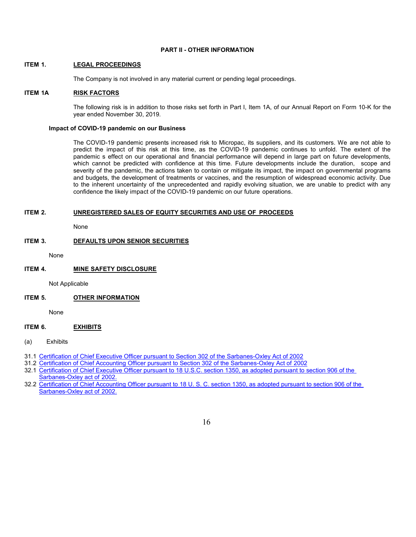### PART II - OTHER INFORMATION

#### ITEM 1. LEGAL PROCEEDINGS

The Company is not involved in any material current or pending legal proceedings.

### ITEM 1A RISK FACTORS

The following risk is in addition to those risks set forth in Part I, Item 1A, of our Annual Report on Form 10-K for the year ended November 30, 2019.

#### Impact of COVID-19 pandemic on our Business

The COVID-19 pandemic presents increased risk to Micropac, its suppliers, and its customers. We are not able to predict the impact of this risk at this time, as the COVID-19 pandemic continues to unfold. The extent of the pandemic s effect on our operational and financial performance will depend in large part on future developments, which cannot be predicted with confidence at this time. Future developments include the duration, scope and severity of the pandemic, the actions taken to contain or mitigate its impact, the impact on governmental programs and budgets, the development of treatments or vaccines, and the resumption of widespread economic activity. Due to the inherent uncertainty of the unprecedented and rapidly evolving situation, we are unable to predict with any confidence the likely impact of the COVID-19 pandemic on our future operations.

# ITEM 2. UNREGISTERED SALES OF EQUITY SECURITIES AND USE OF PROCEEDS

None

# ITEM 3. DEFAULTS UPON SENIOR SECURITIES

None

# ITEM 4. MINE SAFETY DISCLOSURE

Not Applicable

# ITEM 5. OTHER INFORMATION

None

## ITEM 6. EXHIBITS

## (a) Exhibits

- 31.1 Certification of Chief Executive Officer pursuant to Section 302 of the Sarbanes-Oxley Act of 2002
- 31.2 Certification of Chief Accounting Officer pursuant to Section 302 of the Sarbanes-Oxley Act of 2002
- 32.1 Certification of Chief Executive Officer pursuant to 18 U.S.C. section 1350, as adopted pursuant to section 906 of the Sarbanes-Oxley act of 2002.

32.2 Certification of Chief Accounting Officer pursuant to 18 U. S. C. section 1350, as adopted pursuant to section 906 of the Sarbanes-Oxley act of 2002.

# 16